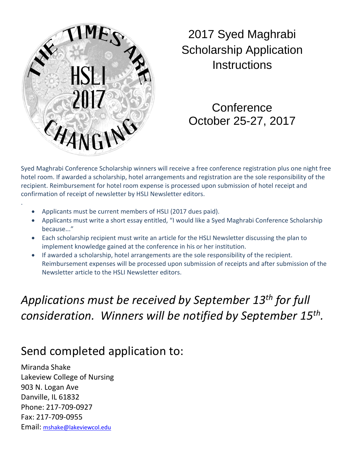

2017 Syed Maghrabi Scholarship Application **Instructions** 

**Conference** October 25-27, 2017

Syed Maghrabi Conference Scholarship winners will receive a free conference registration plus one night free hotel room. If awarded a scholarship, hotel arrangements and registration are the sole responsibility of the recipient. Reimbursement for hotel room expense is processed upon submission of hotel receipt and confirmation of receipt of newsletter by HSLI Newsletter editors.

- Applicants must be current members of HSLI (2017 dues paid).
- Applicants must write a short essay entitled, "I would like a Syed Maghrabi Conference Scholarship because..."
- Each scholarship recipient must write an article for the HSLI Newsletter discussing the plan to implement knowledge gained at the conference in his or her institution.
- If awarded a scholarship, hotel arrangements are the sole responsibility of the recipient. Reimbursement expenses will be processed upon submission of receipts and after submission of the Newsletter article to the HSLI Newsletter editors.

## *Applications must be received by September 13th for full consideration. Winners will be notified by September 15th.*

## Send completed application to:

Miranda Shake Lakeview College of Nursing 903 N. Logan Ave Danville, IL 61832 Phone: 217-709-0927 Fax: 217-709-0955 Email: [mshake@lakeviewcol.edu](mailto:mshake@lakeviewcol.edu)

.